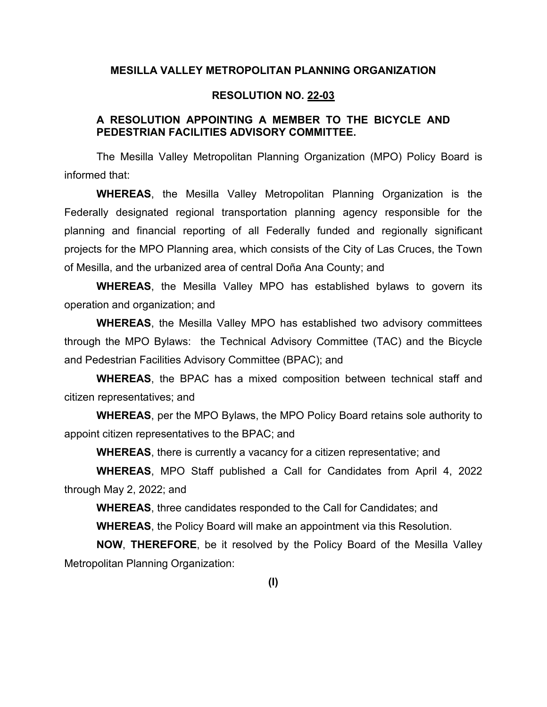## **MESILLA VALLEY METROPOLITAN PLANNING ORGANIZATION**

## **RESOLUTION NO. 22-03**

## **A RESOLUTION APPOINTING A MEMBER TO THE BICYCLE AND PEDESTRIAN FACILITIES ADVISORY COMMITTEE.**

The Mesilla Valley Metropolitan Planning Organization (MPO) Policy Board is informed that:

**WHEREAS**, the Mesilla Valley Metropolitan Planning Organization is the Federally designated regional transportation planning agency responsible for the planning and financial reporting of all Federally funded and regionally significant projects for the MPO Planning area, which consists of the City of Las Cruces, the Town of Mesilla, and the urbanized area of central Doña Ana County; and

**WHEREAS**, the Mesilla Valley MPO has established bylaws to govern its operation and organization; and

**WHEREAS**, the Mesilla Valley MPO has established two advisory committees through the MPO Bylaws: the Technical Advisory Committee (TAC) and the Bicycle and Pedestrian Facilities Advisory Committee (BPAC); and

**WHEREAS**, the BPAC has a mixed composition between technical staff and citizen representatives; and

**WHEREAS**, per the MPO Bylaws, the MPO Policy Board retains sole authority to appoint citizen representatives to the BPAC; and

**WHEREAS**, there is currently a vacancy for a citizen representative; and

**WHEREAS**, MPO Staff published a Call for Candidates from April 4, 2022 through May 2, 2022; and

**WHEREAS**, three candidates responded to the Call for Candidates; and

**WHEREAS**, the Policy Board will make an appointment via this Resolution.

**NOW**, **THEREFORE**, be it resolved by the Policy Board of the Mesilla Valley Metropolitan Planning Organization: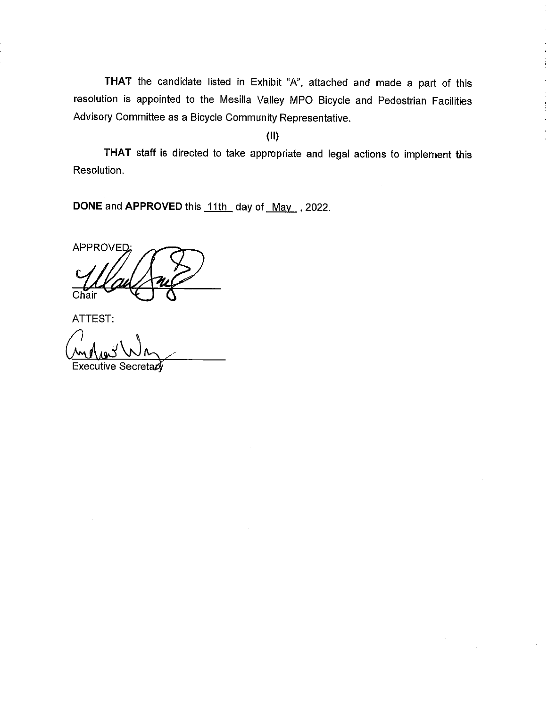THAT the candidate listed in Exhibit "A", attached and made a part of this resolution is appointed to the Mesilla Valley MPO Bicycle and Pedestrian Facilities Advisory Committee as a Bicycle Community Representative.

 $\mathbf{I}$ 

 $(II)$ 

THAT staff is directed to take appropriate and legal actions to implement this Resolution.

DONE and APPROVED this 11th day of May , 2022.

APPROVED: Chair

ATTEST:

Executive Secretary